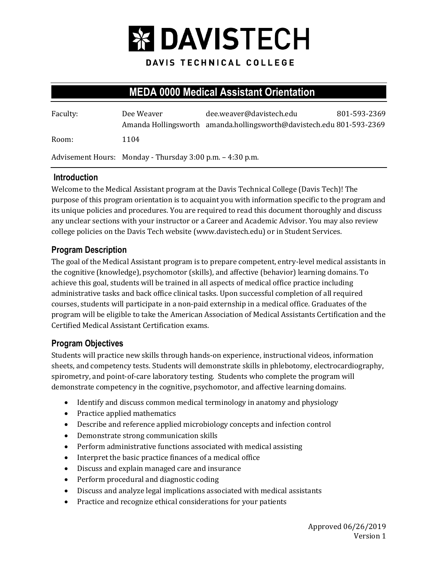

DAVIS TECHNICAL COLLEGE

# **MEDA 0000 Medical Assistant Orientation**

| Faculty: | Dee Weaver                                                | dee.weaver@davistech.edu<br>Amanda Hollingsworth amanda.hollingsworth@davistech.edu 801-593-2369 | 801-593-2369 |
|----------|-----------------------------------------------------------|--------------------------------------------------------------------------------------------------|--------------|
| Room:    | 1104                                                      |                                                                                                  |              |
|          | Advisement Hours: Monday - Thursday 3:00 p.m. – 4:30 p.m. |                                                                                                  |              |

#### **Introduction**

Welcome to the Medical Assistant program at the Davis Technical College (Davis Tech)! The purpose of this program orientation is to acquaint you with information specific to the program and its unique policies and procedures. You are required to read this document thoroughly and discuss any unclear sections with your instructor or a Career and Academic Advisor. You may also review college policies on the Davis Tech website (www.davistech.edu) or in Student Services.

### **Program Description**

The goal of the Medical Assistant program is to prepare competent, entry-level medical assistants in the cognitive (knowledge), psychomotor (skills), and affective (behavior) learning domains. To achieve this goal, students will be trained in all aspects of medical office practice including administrative tasks and back office clinical tasks. Upon successful completion of all required courses, students will participate in a non-paid externship in a medical office. Graduates of the program will be eligible to take the American Association of Medical Assistants Certification and the Certified Medical Assistant Certification exams.

### **Program Objectives**

Students will practice new skills through hands-on experience, instructional videos, information sheets, and competency tests. Students will demonstrate skills in phlebotomy, electrocardiography, spirometry, and point-of-care laboratory testing. Students who complete the program will demonstrate competency in the cognitive, psychomotor, and affective learning domains.

- Identify and discuss common medical terminology in anatomy and physiology
- Practice applied mathematics
- Describe and reference applied microbiology concepts and infection control
- Demonstrate strong communication skills
- Perform administrative functions associated with medical assisting
- Interpret the basic practice finances of a medical office
- Discuss and explain managed care and insurance
- Perform procedural and diagnostic coding
- Discuss and analyze legal implications associated with medical assistants
- Practice and recognize ethical considerations for your patients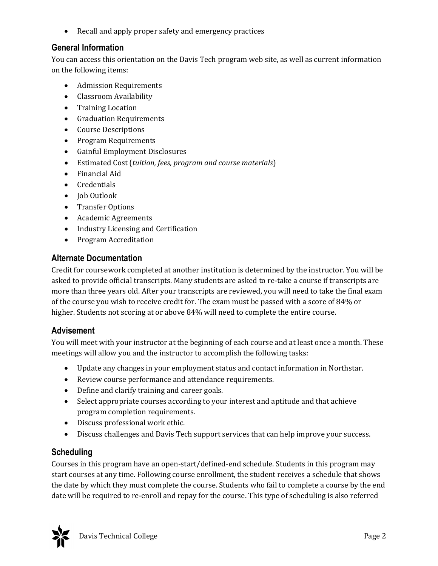• Recall and apply proper safety and emergency practices

### **General Information**

You can access this orientation on the Davis Tech program web site, as well as current information on the following items:

- Admission Requirements
- Classroom Availability
- Training Location
- Graduation Requirements
- Course Descriptions
- Program Requirements
- Gainful Employment Disclosures
- Estimated Cost (*tuition, fees, program and course materials*)
- Financial Aid
- Credentials
- Job Outlook
- Transfer Options
- Academic Agreements
- Industry Licensing and Certification
- Program Accreditation

### **Alternate Documentation**

Credit for coursework completed at another institution is determined by the instructor. You will be asked to provide official transcripts. Many students are asked to re-take a course if transcripts are more than three years old. After your transcripts are reviewed, you will need to take the final exam of the course you wish to receive credit for. The exam must be passed with a score of 84% or higher. Students not scoring at or above 84% will need to complete the entire course.

### **Advisement**

You will meet with your instructor at the beginning of each course and at least once a month. These meetings will allow you and the instructor to accomplish the following tasks:

- Update any changes in your employment status and contact information in Northstar.
- Review course performance and attendance requirements.
- Define and clarify training and career goals.
- Select appropriate courses according to your interest and aptitude and that achieve program completion requirements.
- Discuss professional work ethic.
- Discuss challenges and Davis Tech support services that can help improve your success.

# **Scheduling**

Courses in this program have an open-start/defined-end schedule. Students in this program may start courses at any time. Following course enrollment, the student receives a schedule that shows the date by which they must complete the course. Students who fail to complete a course by the end date will be required to re-enroll and repay for the course. This type of scheduling is also referred

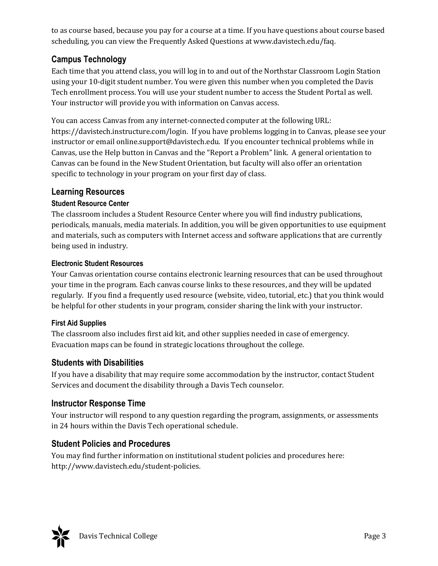to as course based, because you pay for a course at a time. If you have questions about course based scheduling, you can view the Frequently Asked Questions at www.davistech.edu/faq.

# **Campus Technology**

Each time that you attend class, you will log in to and out of the Northstar Classroom Login Station using your 10-digit student number. You were given this number when you completed the Davis Tech enrollment process. You will use your student number to access the Student Portal as well. Your instructor will provide you with information on Canvas access.

You can access Canvas from any internet-connected computer at the following URL: https://davistech.instructure.com/login. If you have problems logging in to Canvas, please see your instructor or email online.support@davistech.edu. If you encounter technical problems while in Canvas, use the Help button in Canvas and the "Report a Problem" link. A general orientation to Canvas can be found in the New Student Orientation, but faculty will also offer an orientation specific to technology in your program on your first day of class.

### **Learning Resources**

### **Student Resource Center**

The classroom includes a Student Resource Center where you will find industry publications, periodicals, manuals, media materials. In addition, you will be given opportunities to use equipment and materials, such as computers with Internet access and software applications that are currently being used in industry.

#### **Electronic Student Resources**

Your Canvas orientation course contains electronic learning resources that can be used throughout your time in the program. Each canvas course links to these resources, and they will be updated regularly. If you find a frequently used resource (website, video, tutorial, etc.) that you think would be helpful for other students in your program, consider sharing the link with your instructor.

### **First Aid Supplies**

The classroom also includes first aid kit, and other supplies needed in case of emergency. Evacuation maps can be found in strategic locations throughout the college.

# **Students with Disabilities**

If you have a disability that may require some accommodation by the instructor, contact Student Services and document the disability through a Davis Tech counselor.

# **Instructor Response Time**

Your instructor will respond to any question regarding the program, assignments, or assessments in 24 hours within the Davis Tech operational schedule.

# **Student Policies and Procedures**

You may find further information on institutional student policies and procedures here: http://www.davistech.edu/student-policies.

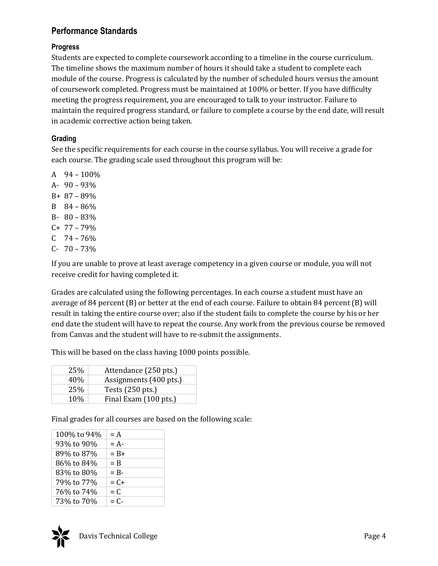## **Performance Standards**

#### **Progress**

Students are expected to complete coursework according to a timeline in the course curriculum. The timeline shows the maximum number of hours it should take a student to complete each module of the course. Progress is calculated by the number of scheduled hours versus the amount of coursework completed. Progress must be maintained at 100% or better. If you have difficulty meeting the progress requirement, you are encouraged to talk to your instructor. Failure to maintain the required progress standard, or failure to complete a course by the end date, will result in academic corrective action being taken.

#### **Grading**

See the specific requirements for each course in the course syllabus. You will receive a grade for each course. The grading scale used throughout this program will be:

A 94 – 100% A- 90 – 93% B+ 87 – 89% B 84 – 86% B- 80 – 83% C+ 77 – 79%  $C$  74 – 76%  $C- 70-73%$ 

If you are unable to prove at least average competency in a given course or module, you will not receive credit for having completed it.

Grades are calculated using the following percentages. In each course a student must have an average of 84 percent (B) or better at the end of each course. Failure to obtain 84 percent (B) will result in taking the entire course over; also if the student fails to complete the course by his or her end date the student will have to repeat the course. Any work from the previous course be removed from Canvas and the student will have to re-submit the assignments.

This will be based on the class having 1000 points possible.

| 25%  | Attendance (250 pts.)  |
|------|------------------------|
| 40%  | Assignments (400 pts.) |
| 25%  | Tests (250 pts.)       |
| 10\% | Final Exam (100 pts.)  |

Final grades for all courses are based on the following scale:

| 100% to 94% | $= A$   |
|-------------|---------|
| 93% to 90%  | $= A -$ |
| 89% to 87%  | $= B +$ |
| 86% to 84%  | $=$ B   |
| 83% to 80%  | $=$ R-  |
| 79% to 77%  | $= C +$ |
| 76% to 74%  | $= C$   |
| 73% to 70%  | $= C -$ |
|             |         |

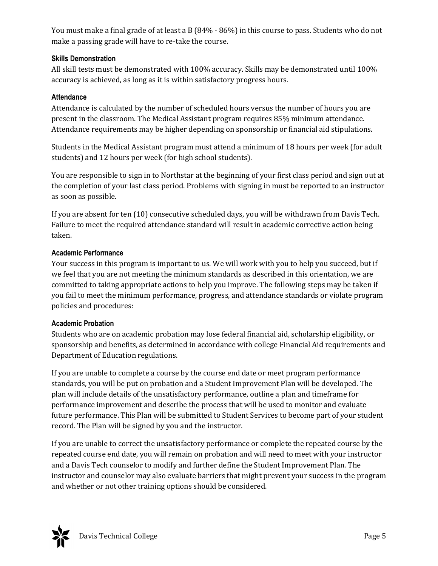You must make a final grade of at least a B (84% - 86%) in this course to pass. Students who do not make a passing grade will have to re-take the course.

#### **Skills Demonstration**

All skill tests must be demonstrated with 100% accuracy. Skills may be demonstrated until 100% accuracy is achieved, as long as it is within satisfactory progress hours.

#### **Attendance**

Attendance is calculated by the number of scheduled hours versus the number of hours you are present in the classroom. The Medical Assistant program requires 85% minimum attendance. Attendance requirements may be higher depending on sponsorship or financial aid stipulations.

Students in the Medical Assistant program must attend a minimum of 18 hours per week (for adult students) and 12 hours per week (for high school students).

You are responsible to sign in to Northstar at the beginning of your first class period and sign out at the completion of your last class period. Problems with signing in must be reported to an instructor as soon as possible.

If you are absent for ten (10) consecutive scheduled days, you will be withdrawn from Davis Tech. Failure to meet the required attendance standard will result in academic corrective action being taken.

#### **Academic Performance**

Your success in this program is important to us. We will work with you to help you succeed, but if we feel that you are not meeting the minimum standards as described in this orientation, we are committed to taking appropriate actions to help you improve. The following steps may be taken if you fail to meet the minimum performance, progress, and attendance standards or violate program policies and procedures:

#### **Academic Probation**

Students who are on academic probation may lose federal financial aid, scholarship eligibility, or sponsorship and benefits, as determined in accordance with college Financial Aid requirements and Department of Education regulations.

If you are unable to complete a course by the course end date or meet program performance standards, you will be put on probation and a Student Improvement Plan will be developed. The plan will include details of the unsatisfactory performance, outline a plan and timeframe for performance improvement and describe the process that will be used to monitor and evaluate future performance. This Plan will be submitted to Student Services to become part of your student record. The Plan will be signed by you and the instructor.

If you are unable to correct the unsatisfactory performance or complete the repeated course by the repeated course end date, you will remain on probation and will need to meet with your instructor and a Davis Tech counselor to modify and further define the Student Improvement Plan. The instructor and counselor may also evaluate barriers that might prevent your success in the program and whether or not other training options should be considered.

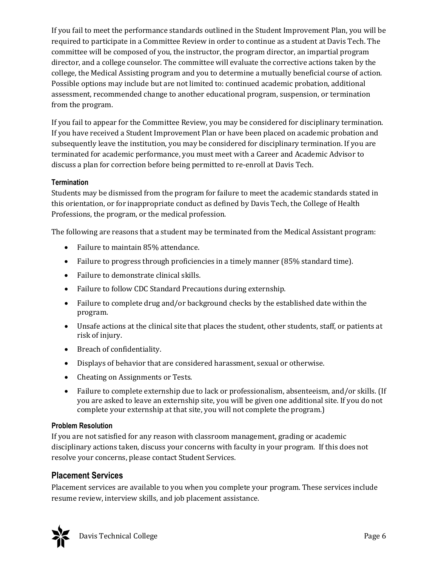If you fail to meet the performance standards outlined in the Student Improvement Plan, you will be required to participate in a Committee Review in order to continue as a student at Davis Tech. The committee will be composed of you, the instructor, the program director, an impartial program director, and a college counselor. The committee will evaluate the corrective actions taken by the college, the Medical Assisting program and you to determine a mutually beneficial course of action. Possible options may include but are not limited to: continued academic probation, additional assessment, recommended change to another educational program, suspension, or termination from the program.

If you fail to appear for the Committee Review, you may be considered for disciplinary termination. If you have received a Student Improvement Plan or have been placed on academic probation and subsequently leave the institution, you may be considered for disciplinary termination. If you are terminated for academic performance, you must meet with a Career and Academic Advisor to discuss a plan for correction before being permitted to re-enroll at Davis Tech.

#### **Termination**

Students may be dismissed from the program for failure to meet the academic standards stated in this orientation, or for inappropriate conduct as defined by Davis Tech, the College of Health Professions, the program, or the medical profession.

The following are reasons that a student may be terminated from the Medical Assistant program:

- Failure to maintain 85% attendance.
- Failure to progress through proficiencies in a timely manner (85% standard time).
- Failure to demonstrate clinical skills.
- Failure to follow CDC Standard Precautions during externship.
- Failure to complete drug and/or background checks by the established date within the program.
- Unsafe actions at the clinical site that places the student, other students, staff, or patients at risk of injury.
- Breach of confidentiality.
- Displays of behavior that are considered harassment, sexual or otherwise.
- Cheating on Assignments or Tests.
- Failure to complete externship due to lack or professionalism, absenteeism, and/or skills. (If you are asked to leave an externship site, you will be given one additional site. If you do not complete your externship at that site, you will not complete the program.)

#### **Problem Resolution**

If you are not satisfied for any reason with classroom management, grading or academic disciplinary actions taken, discuss your concerns with faculty in your program. If this does not resolve your concerns, please contact Student Services.

### **Placement Services**

Placement services are available to you when you complete your program. These services include resume review, interview skills, and job placement assistance.

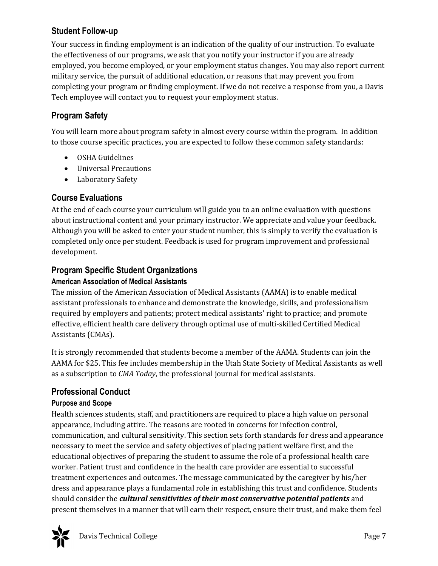# **Student Follow-up**

Your success in finding employment is an indication of the quality of our instruction. To evaluate the effectiveness of our programs, we ask that you notify your instructor if you are already employed, you become employed, or your employment status changes. You may also report current military service, the pursuit of additional education, or reasons that may prevent you from completing your program or finding employment. If we do not receive a response from you, a Davis Tech employee will contact you to request your employment status.

# **Program Safety**

You will learn more about program safety in almost every course within the program. In addition to those course specific practices, you are expected to follow these common safety standards:

- OSHA Guidelines
- Universal Precautions
- Laboratory Safety

### **Course Evaluations**

At the end of each course your curriculum will guide you to an online evaluation with questions about instructional content and your primary instructor. We appreciate and value your feedback. Although you will be asked to enter your student number, this is simply to verify the evaluation is completed only once per student. Feedback is used for program improvement and professional development.

# **Program Specific Student Organizations**

#### **American Association of Medical Assistants**

The mission of the American Association of Medical Assistants (AAMA) is to enable medical assistant professionals to enhance and demonstrate the knowledge, skills, and professionalism required by employers and patients; protect medical assistants' right to practice; and promote effective, efficient health care delivery through optimal use of multi-skilled Certified Medical Assistants (CMAs).

It is strongly recommended that students become a member of the AAMA. Students can join the AAMA for \$25. This fee includes membership in the Utah State Society of Medical Assistants as well as a subscription to *CMA Today*, the professional journal for medical assistants.

# **Professional Conduct**

#### **Purpose and Scope**

Health sciences students, staff, and practitioners are required to place a high value on personal appearance, including attire. The reasons are rooted in concerns for infection control, communication, and cultural sensitivity. This section sets forth standards for dress and appearance necessary to meet the service and safety objectives of placing patient welfare first, and the educational objectives of preparing the student to assume the role of a professional health care worker. Patient trust and confidence in the health care provider are essential to successful treatment experiences and outcomes. The message communicated by the caregiver by his/her dress and appearance plays a fundamental role in establishing this trust and confidence. Students should consider the *cultural sensitivities of their most conservative potential patients* and present themselves in a manner that will earn their respect, ensure their trust, and make them feel

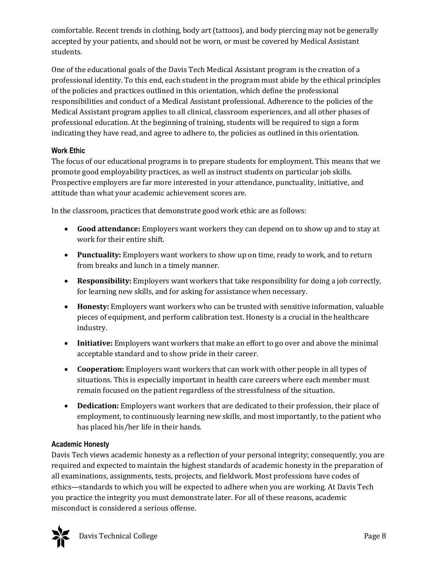comfortable. Recent trends in clothing, body art (tattoos), and body piercing may not be generally accepted by your patients, and should not be worn, or must be covered by Medical Assistant students.

One of the educational goals of the Davis Tech Medical Assistant program is the creation of a professional identity. To this end, each student in the program must abide by the ethical principles of the policies and practices outlined in this orientation, which define the professional responsibilities and conduct of a Medical Assistant professional. Adherence to the policies of the Medical Assistant program applies to all clinical, classroom experiences, and all other phases of professional education. At the beginning of training, students will be required to sign a form indicating they have read, and agree to adhere to, the policies as outlined in this orientation.

### **Work Ethic**

The focus of our educational programs is to prepare students for employment. This means that we promote good employability practices, as well as instruct students on particular job skills. Prospective employers are far more interested in your attendance, punctuality, initiative, and attitude than what your academic achievement scores are.

In the classroom, practices that demonstrate good work ethic are as follows:

- **Good attendance:** Employers want workers they can depend on to show up and to stay at work for their entire shift.
- **Punctuality:** Employers want workers to show up on time, ready to work, and to return from breaks and lunch in a timely manner.
- **Responsibility:** Employers want workers that take responsibility for doing a job correctly, for learning new skills, and for asking for assistance when necessary.
- **Honesty:** Employers want workers who can be trusted with sensitive information, valuable pieces of equipment, and perform calibration test. Honesty is a crucial in the healthcare industry.
- **Initiative:** Employers want workers that make an effort to go over and above the minimal acceptable standard and to show pride in their career.
- **Cooperation:** Employers want workers that can work with other people in all types of situations. This is especially important in health care careers where each member must remain focused on the patient regardless of the stressfulness of the situation.
- **Dedication:** Employers want workers that are dedicated to their profession, their place of employment, to continuously learning new skills, and most importantly, to the patient who has placed his/her life in their hands.

#### **Academic Honesty**

Davis Tech views academic honesty as a reflection of your personal integrity; consequently, you are required and expected to maintain the highest standards of academic honesty in the preparation of all examinations, assignments, tests, projects, and fieldwork. Most professions have codes of ethics—standards to which you will be expected to adhere when you are working. At Davis Tech you practice the integrity you must demonstrate later. For all of these reasons, academic misconduct is considered a serious offense.

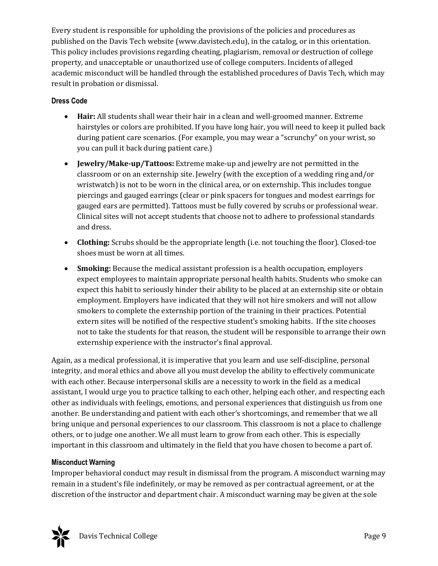Every student is responsible for upholding the provisions of the policies and procedures as published on the Davis Tech website (www.davistech.edu), in the catalog, or in this orientation. This policy includes provisions regarding cheating, plagiarism, removal or destruction of college property, and unacceptable or unauthorized use of college computers. Incidents of alleged academic misconduct will be handled through the established procedures of Davis Tech, which may result in probation or dismissal.

#### **Dress Code**

- **Hair:** All students shall wear their hair in a clean and well-groomed manner. Extreme hairstyles or colors are prohibited. If you have long hair, you will need to keep it pulled back during patient care scenarios. (For example, you may wear a "scrunchy" on your wrist, so you can pull it back during patient care.)
- **Jewelry/Make-up/Tattoos:** Extreme make-up and jewelry are not permitted in the classroom or on an externship site. Jewelry (with the exception of a wedding ring and/or wristwatch) is not to be worn in the clinical area, or on externship. This includes tongue piercings and gauged earrings (clear or pink spacers for tongues and modest earrings for gauged ears are permitted). Tattoos must be fully covered by scrubs or professional wear. Clinical sites will not accept students that choose not to adhere to professional standards and dress.
- **Clothing:** Scrubs should be the appropriate length (i.e. not touching the floor). Closed-toe shoes must be worn at all times.
- **Smoking:** Because the medical assistant profession is a health occupation, employers expect employees to maintain appropriate personal health habits. Students who smoke can expect this habit to seriously hinder their ability to be placed at an externship site or obtain employment. Employers have indicated that they will not hire smokers and will not allow smokers to complete the externship portion of the training in their practices. Potential extern sites will be notified of the respective student's smoking habits. If the site chooses not to take the students for that reason, the student will be responsible to arrange their own externship experience with the instructor's final approval.

Again, as a medical professional, it is imperative that you learn and use self-discipline, personal integrity, and moral ethics and above all you must develop the ability to effectively communicate with each other. Because interpersonal skills are a necessity to work in the field as a medical assistant, I would urge you to practice talking to each other, helping each other, and respecting each other as individuals with feelings, emotions, and personal experiences that distinguish us from one another. Be understanding and patient with each other's shortcomings, and remember that we all bring unique and personal experiences to our classroom. This classroom is not a place to challenge others, or to judge one another. We all must learn to grow from each other. This is especially important in this classroom and ultimately in the field that you have chosen to become a part of.

#### **Misconduct Warning**

Improper behavioral conduct may result in dismissal from the program. A misconduct warning may remain in a student's file indefinitely, or may be removed as per contractual agreement, or at the discretion of the instructor and department chair. A misconduct warning may be given at the sole

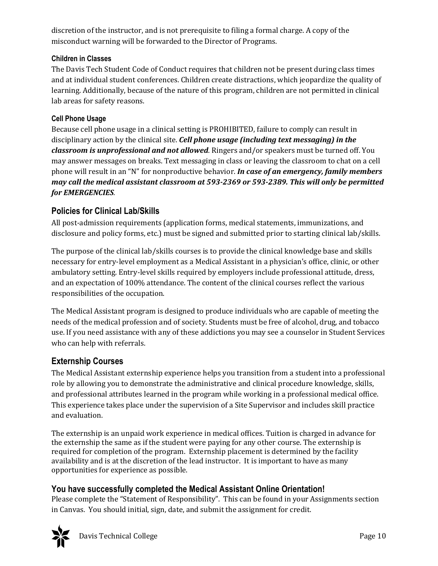discretion of the instructor, and is not prerequisite to filing a formal charge. A copy of the misconduct warning will be forwarded to the Director of Programs.

#### **Children in Classes**

The Davis Tech Student Code of Conduct requires that children not be present during class times and at individual student conferences. Children create distractions, which jeopardize the quality of learning. Additionally, because of the nature of this program, children are not permitted in clinical lab areas for safety reasons.

#### **Cell Phone Usage**

Because cell phone usage in a clinical setting is PROHIBITED, failure to comply can result in disciplinary action by the clinical site. *Cell phone usage (including text messaging) in the classroom is unprofessional and not allowed*. Ringers and/or speakers must be turned off. You may answer messages on breaks. Text messaging in class or leaving the classroom to chat on a cell phone will result in an "N" for nonproductive behavior. *In case of an emergency, family members may call the medical assistant classroom at 593-2369 or 593-2389. This will only be permitted for EMERGENCIES.*

### **Policies for Clinical Lab/Skills**

All post-admission requirements (application forms, medical statements, immunizations, and disclosure and policy forms, etc.) must be signed and submitted prior to starting clinical lab/skills.

The purpose of the clinical lab/skills courses is to provide the clinical knowledge base and skills necessary for entry-level employment as a Medical Assistant in a physician's office, clinic, or other ambulatory setting. Entry-level skills required by employers include professional attitude, dress, and an expectation of 100% attendance. The content of the clinical courses reflect the various responsibilities of the occupation.

The Medical Assistant program is designed to produce individuals who are capable of meeting the needs of the medical profession and of society. Students must be free of alcohol, drug, and tobacco use. If you need assistance with any of these addictions you may see a counselor in Student Services who can help with referrals.

# **Externship Courses**

The Medical Assistant externship experience helps you transition from a student into a professional role by allowing you to demonstrate the administrative and clinical procedure knowledge, skills, and professional attributes learned in the program while working in a professional medical office. This experience takes place under the supervision of a Site Supervisor and includes skill practice and evaluation.

The externship is an unpaid work experience in medical offices. Tuition is charged in advance for the externship the same as if the student were paying for any other course. The externship is required for completion of the program. Externship placement is determined by the facility availability and is at the discretion of the lead instructor. It is important to have as many opportunities for experience as possible.

# **You have successfully completed the Medical Assistant Online Orientation!**

Please complete the "Statement of Responsibility". This can be found in your Assignments section in Canvas. You should initial, sign, date, and submit the assignment for credit.